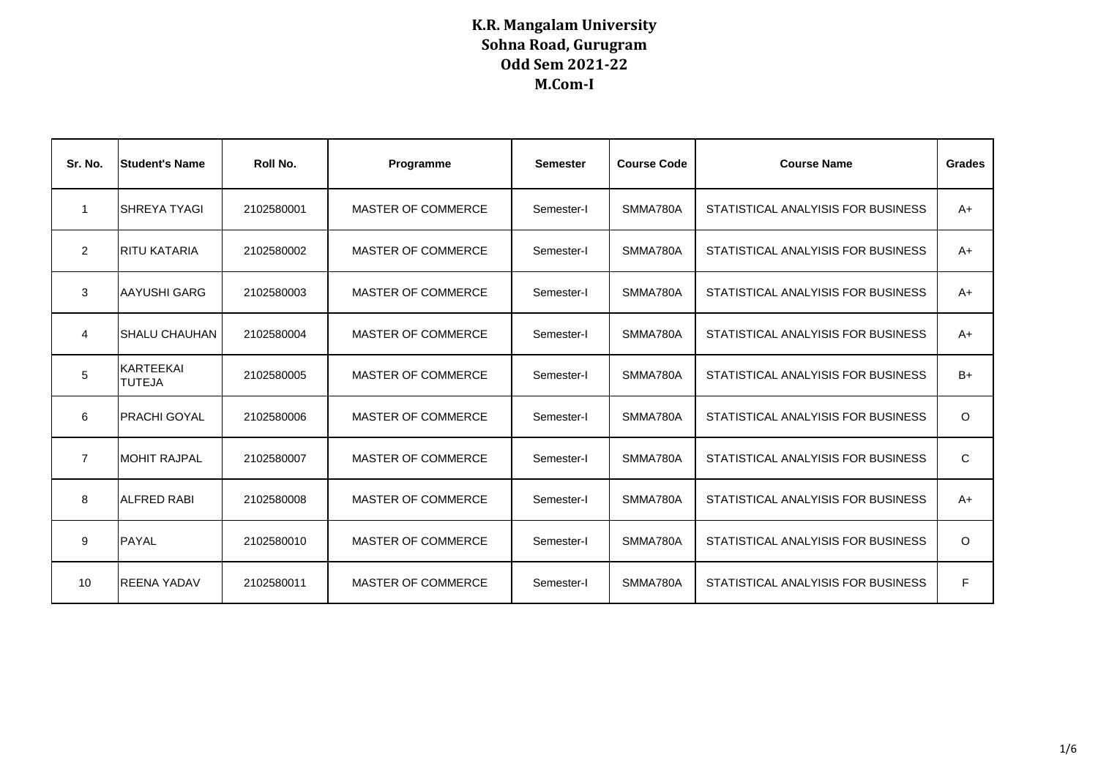| Sr. No.        | <b>Student's Name</b>             | Roll No.   | Programme                 | <b>Semester</b> | <b>Course Code</b> | <b>Course Name</b>                 | Grades  |
|----------------|-----------------------------------|------------|---------------------------|-----------------|--------------------|------------------------------------|---------|
| $\mathbf 1$    | <b>SHREYA TYAGI</b>               | 2102580001 | <b>MASTER OF COMMERCE</b> | Semester-I      | SMMA780A           | STATISTICAL ANALYISIS FOR BUSINESS | $A+$    |
| 2              | <b>RITU KATARIA</b>               | 2102580002 | <b>MASTER OF COMMERCE</b> | Semester-I      | SMMA780A           | STATISTICAL ANALYISIS FOR BUSINESS | $A+$    |
| 3              | AAYUSHI GARG                      | 2102580003 | <b>MASTER OF COMMERCE</b> | Semester-I      | SMMA780A           | STATISTICAL ANALYISIS FOR BUSINESS | $A+$    |
| 4              | <b>SHALU CHAUHAN</b>              | 2102580004 | MASTER OF COMMERCE        | Semester-I      | SMMA780A           | STATISTICAL ANALYISIS FOR BUSINESS | $A+$    |
| 5              | <b>KARTEEKAI</b><br><b>TUTEJA</b> | 2102580005 | <b>MASTER OF COMMERCE</b> | Semester-I      | SMMA780A           | STATISTICAL ANALYISIS FOR BUSINESS | $B+$    |
| 6              | <b>PRACHI GOYAL</b>               | 2102580006 | <b>MASTER OF COMMERCE</b> | Semester-I      | SMMA780A           | STATISTICAL ANALYISIS FOR BUSINESS | $\circ$ |
| $\overline{7}$ | <b>MOHIT RAJPAL</b>               | 2102580007 | <b>MASTER OF COMMERCE</b> | Semester-I      | SMMA780A           | STATISTICAL ANALYISIS FOR BUSINESS | C       |
| 8              | <b>ALFRED RABI</b>                | 2102580008 | <b>MASTER OF COMMERCE</b> | Semester-I      | SMMA780A           | STATISTICAL ANALYISIS FOR BUSINESS | $A+$    |
| 9              | <b>PAYAL</b>                      | 2102580010 | <b>MASTER OF COMMERCE</b> | Semester-I      | SMMA780A           | STATISTICAL ANALYISIS FOR BUSINESS | $\circ$ |
| 10             | <b>REENA YADAV</b>                | 2102580011 | <b>MASTER OF COMMERCE</b> | Semester-I      | SMMA780A           | STATISTICAL ANALYISIS FOR BUSINESS | F       |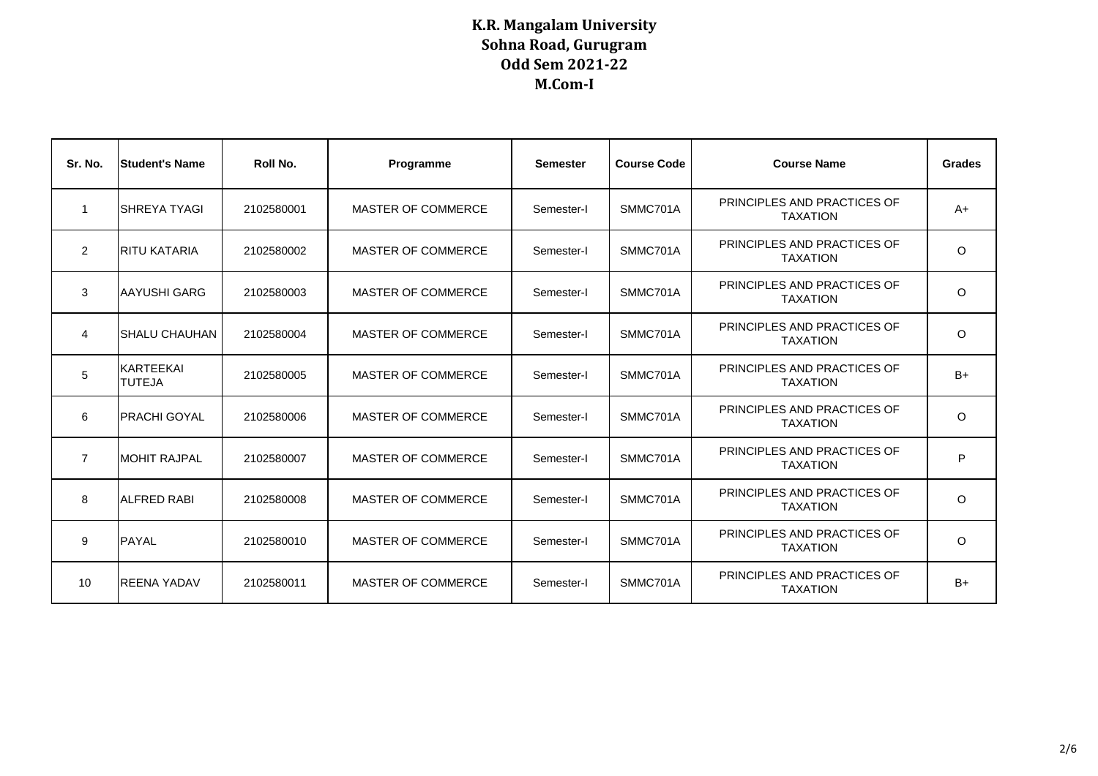| Sr. No.      | <b>Student's Name</b>             | Roll No.   | Programme                 | <b>Semester</b> | <b>Course Code</b> | <b>Course Name</b>                                    | Grades  |
|--------------|-----------------------------------|------------|---------------------------|-----------------|--------------------|-------------------------------------------------------|---------|
| $\mathbf{1}$ | <b>SHREYA TYAGI</b>               | 2102580001 | <b>MASTER OF COMMERCE</b> | Semester-I      | SMMC701A           | PRINCIPLES AND PRACTICES OF<br><b>TAXATION</b>        | A+      |
| 2            | <b>RITU KATARIA</b>               | 2102580002 | <b>MASTER OF COMMERCE</b> | Semester-I      | SMMC701A           | <b>PRINCIPLES AND PRACTICES OF</b><br><b>TAXATION</b> | $\circ$ |
| 3            | <b>AAYUSHI GARG</b>               | 2102580003 | <b>MASTER OF COMMERCE</b> | Semester-I      | SMMC701A           | PRINCIPLES AND PRACTICES OF<br><b>TAXATION</b>        | O       |
| 4            | ISHALU CHAUHAN                    | 2102580004 | MASTER OF COMMERCE        | Semester-I      | SMMC701A           | PRINCIPLES AND PRACTICES OF<br><b>TAXATION</b>        | $\circ$ |
| 5            | <b>KARTEEKAI</b><br><b>TUTEJA</b> | 2102580005 | <b>MASTER OF COMMERCE</b> | Semester-I      | SMMC701A           | <b>PRINCIPLES AND PRACTICES OF</b><br><b>TAXATION</b> | $B+$    |
| 6            | <b>PRACHI GOYAL</b>               | 2102580006 | <b>MASTER OF COMMERCE</b> | Semester-I      | SMMC701A           | PRINCIPLES AND PRACTICES OF<br><b>TAXATION</b>        | $\circ$ |
| 7            | <b>MOHIT RAJPAL</b>               | 2102580007 | MASTER OF COMMERCE        | Semester-I      | SMMC701A           | <b>PRINCIPLES AND PRACTICES OF</b><br><b>TAXATION</b> | P       |
| 8            | <b>ALFRED RABI</b>                | 2102580008 | <b>MASTER OF COMMERCE</b> | Semester-I      | SMMC701A           | PRINCIPLES AND PRACTICES OF<br><b>TAXATION</b>        | $\circ$ |
| 9            | PAYAL                             | 2102580010 | <b>MASTER OF COMMERCE</b> | Semester-I      | SMMC701A           | PRINCIPLES AND PRACTICES OF<br><b>TAXATION</b>        | $\circ$ |
| 10           | <b>REENA YADAV</b>                | 2102580011 | MASTER OF COMMERCE        | Semester-I      | SMMC701A           | PRINCIPLES AND PRACTICES OF<br><b>TAXATION</b>        | $B+$    |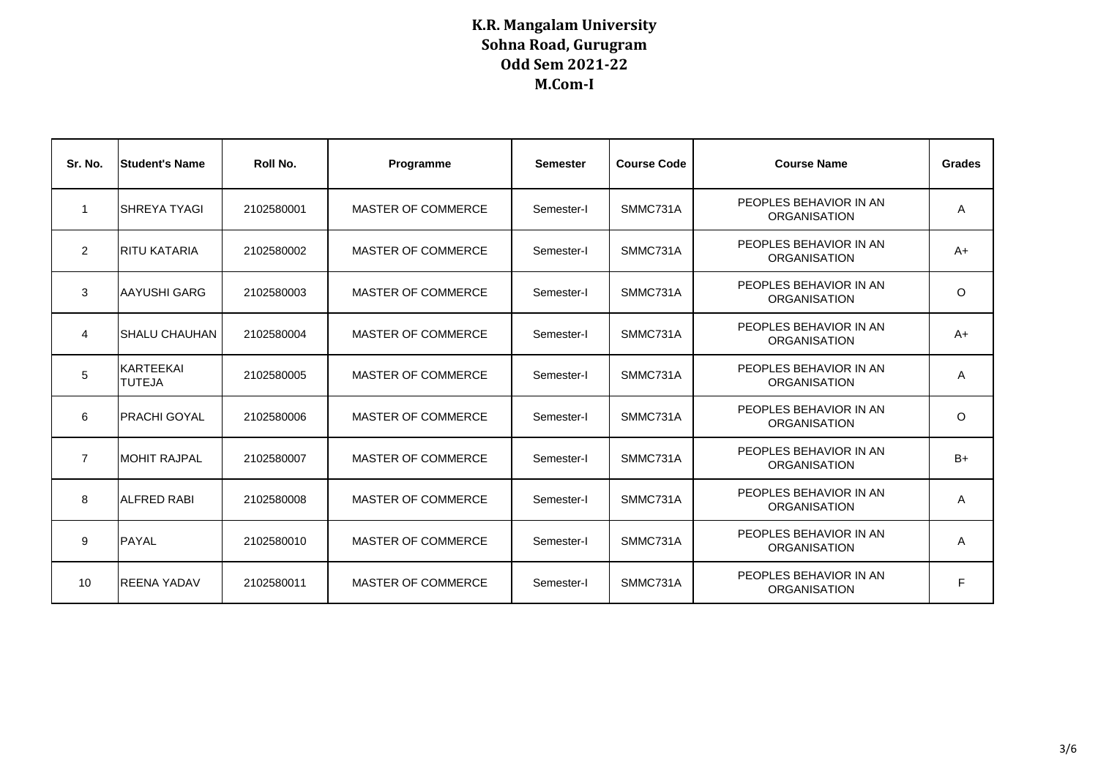| Sr. No.        | <b>Student's Name</b>             | Roll No.   | Programme                 | <b>Semester</b> | <b>Course Code</b> | <b>Course Name</b>                            | <b>Grades</b> |
|----------------|-----------------------------------|------------|---------------------------|-----------------|--------------------|-----------------------------------------------|---------------|
| $\mathbf 1$    | <b>SHREYA TYAGI</b>               | 2102580001 | <b>MASTER OF COMMERCE</b> | Semester-I      | SMMC731A           | PEOPLES BEHAVIOR IN AN<br><b>ORGANISATION</b> | A             |
| 2              | <b>RITU KATARIA</b>               | 2102580002 | <b>MASTER OF COMMERCE</b> | Semester-I      | SMMC731A           | PEOPLES BEHAVIOR IN AN<br><b>ORGANISATION</b> | $A+$          |
| 3              | <b>AAYUSHI GARG</b>               | 2102580003 | <b>MASTER OF COMMERCE</b> | Semester-I      | SMMC731A           | PEOPLES BEHAVIOR IN AN<br><b>ORGANISATION</b> | O             |
| 4              | <b>SHALU CHAUHAN</b>              | 2102580004 | <b>MASTER OF COMMERCE</b> | Semester-I      | SMMC731A           | PEOPLES BEHAVIOR IN AN<br><b>ORGANISATION</b> | $A+$          |
| 5              | <b>KARTEEKAI</b><br><b>TUTEJA</b> | 2102580005 | <b>MASTER OF COMMERCE</b> | Semester-I      | SMMC731A           | PEOPLES BEHAVIOR IN AN<br><b>ORGANISATION</b> | A             |
| 6              | <b>PRACHI GOYAL</b>               | 2102580006 | <b>MASTER OF COMMERCE</b> | Semester-I      | SMMC731A           | PEOPLES BEHAVIOR IN AN<br><b>ORGANISATION</b> | O             |
| $\overline{7}$ | <b>MOHIT RAJPAL</b>               | 2102580007 | <b>MASTER OF COMMERCE</b> | Semester-I      | SMMC731A           | PEOPLES BEHAVIOR IN AN<br><b>ORGANISATION</b> | $B+$          |
| 8              | <b>ALFRED RABI</b>                | 2102580008 | <b>MASTER OF COMMERCE</b> | Semester-I      | SMMC731A           | PEOPLES BEHAVIOR IN AN<br><b>ORGANISATION</b> | A             |
| 9              | <b>PAYAL</b>                      | 2102580010 | <b>MASTER OF COMMERCE</b> | Semester-I      | SMMC731A           | PEOPLES BEHAVIOR IN AN<br><b>ORGANISATION</b> | A             |
| 10             | <b>REENA YADAV</b>                | 2102580011 | <b>MASTER OF COMMERCE</b> | Semester-I      | SMMC731A           | PEOPLES BEHAVIOR IN AN<br><b>ORGANISATION</b> | F             |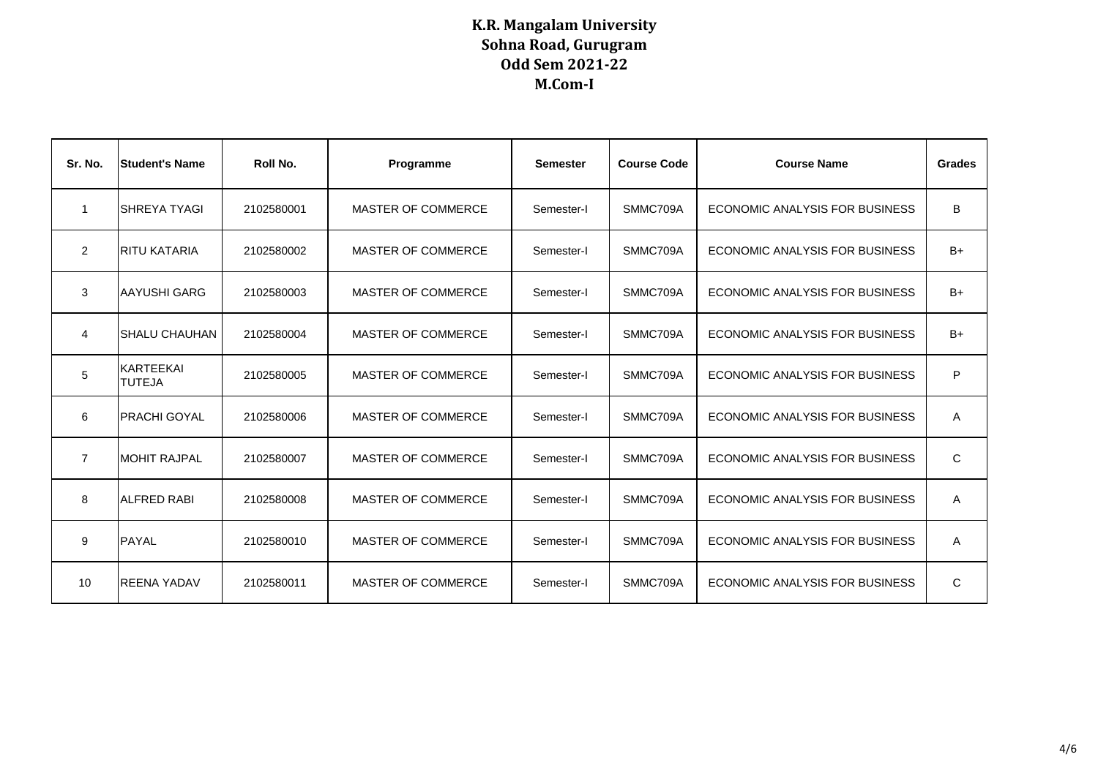| Sr. No.        | <b>Student's Name</b>             | Roll No.   | Programme                 | <b>Semester</b> | <b>Course Code</b> | <b>Course Name</b>                    | <b>Grades</b> |
|----------------|-----------------------------------|------------|---------------------------|-----------------|--------------------|---------------------------------------|---------------|
| $\mathbf{1}$   | <b>SHREYA TYAGI</b>               | 2102580001 | <b>MASTER OF COMMERCE</b> | Semester-I      | SMMC709A           | ECONOMIC ANALYSIS FOR BUSINESS        | B             |
| $\mathcal{P}$  | <b>RITU KATARIA</b>               | 2102580002 | MASTER OF COMMERCE        | Semester-I      | SMMC709A           | ECONOMIC ANALYSIS FOR BUSINESS        | $B+$          |
| 3              | AAYUSHI GARG                      | 2102580003 | <b>MASTER OF COMMERCE</b> | Semester-I      | SMMC709A           | ECONOMIC ANALYSIS FOR BUSINESS        | $B+$          |
| 4              | <b>SHALU CHAUHAN</b>              | 2102580004 | MASTER OF COMMERCE        | Semester-I      | SMMC709A           | ECONOMIC ANALYSIS FOR BUSINESS        | $B+$          |
| 5              | <b>KARTEEKAI</b><br><b>TUTEJA</b> | 2102580005 | <b>MASTER OF COMMERCE</b> | Semester-I      | SMMC709A           | <b>ECONOMIC ANALYSIS FOR BUSINESS</b> | P             |
| 6              | <b>PRACHI GOYAL</b>               | 2102580006 | <b>MASTER OF COMMERCE</b> | Semester-I      | SMMC709A           | ECONOMIC ANALYSIS FOR BUSINESS        | Α             |
| $\overline{7}$ | <b>MOHIT RAJPAL</b>               | 2102580007 | <b>MASTER OF COMMERCE</b> | Semester-I      | SMMC709A           | ECONOMIC ANALYSIS FOR BUSINESS        | C             |
| 8              | <b>ALFRED RABI</b>                | 2102580008 | <b>MASTER OF COMMERCE</b> | Semester-I      | SMMC709A           | ECONOMIC ANALYSIS FOR BUSINESS        | A             |
| 9              | <b>PAYAL</b>                      | 2102580010 | <b>MASTER OF COMMERCE</b> | Semester-I      | SMMC709A           | ECONOMIC ANALYSIS FOR BUSINESS        | A             |
| 10             | <b>REENA YADAV</b>                | 2102580011 | <b>MASTER OF COMMERCE</b> | Semester-I      | SMMC709A           | ECONOMIC ANALYSIS FOR BUSINESS        | C             |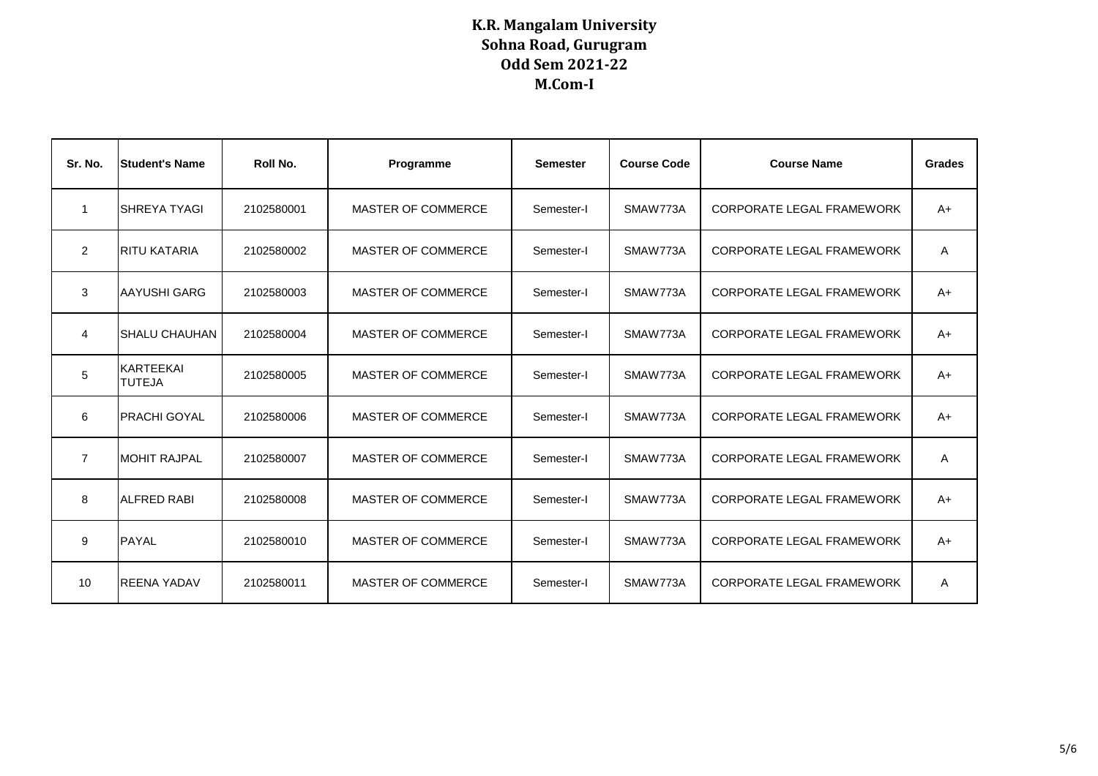| Sr. No.        | <b>Student's Name</b>             | Roll No.   | Programme                 | <b>Semester</b> | <b>Course Code</b> | <b>Course Name</b>               | Grades |
|----------------|-----------------------------------|------------|---------------------------|-----------------|--------------------|----------------------------------|--------|
| $\overline{1}$ | <b>SHREYA TYAGI</b>               | 2102580001 | <b>MASTER OF COMMERCE</b> | Semester-I      | SMAW773A           | <b>CORPORATE LEGAL FRAMEWORK</b> | $A+$   |
| 2              | <b>RITU KATARIA</b>               | 2102580002 | <b>MASTER OF COMMERCE</b> | Semester-I      | SMAW773A           | <b>CORPORATE LEGAL FRAMEWORK</b> | Α      |
| 3              | <b>AAYUSHI GARG</b>               | 2102580003 | MASTER OF COMMERCE        | Semester-I      | SMAW773A           | <b>CORPORATE LEGAL FRAMEWORK</b> | $A+$   |
| $\overline{4}$ | <b>SHALU CHAUHAN</b>              | 2102580004 | <b>MASTER OF COMMERCE</b> | Semester-I      | SMAW773A           | <b>CORPORATE LEGAL FRAMEWORK</b> | $A+$   |
| 5              | <b>KARTEEKAI</b><br><b>TUTEJA</b> | 2102580005 | <b>MASTER OF COMMERCE</b> | Semester-I      | SMAW773A           | <b>CORPORATE LEGAL FRAMEWORK</b> | $A+$   |
| 6              | <b>IPRACHI GOYAL</b>              | 2102580006 | <b>MASTER OF COMMERCE</b> | Semester-I      | SMAW773A           | <b>CORPORATE LEGAL FRAMEWORK</b> | $A+$   |
| $\overline{7}$ | <b>MOHIT RAJPAL</b>               | 2102580007 | <b>MASTER OF COMMERCE</b> | Semester-I      | SMAW773A           | <b>CORPORATE LEGAL FRAMEWORK</b> | A      |
| 8              | <b>ALFRED RABI</b>                | 2102580008 | <b>MASTER OF COMMERCE</b> | Semester-I      | SMAW773A           | <b>CORPORATE LEGAL FRAMEWORK</b> | $A+$   |
| 9              | <b>PAYAL</b>                      | 2102580010 | MASTER OF COMMERCE        | Semester-I      | SMAW773A           | <b>CORPORATE LEGAL FRAMEWORK</b> | $A+$   |
| 10             | <b>REENA YADAV</b>                | 2102580011 | <b>MASTER OF COMMERCE</b> | Semester-I      | SMAW773A           | <b>CORPORATE LEGAL FRAMEWORK</b> | Α      |